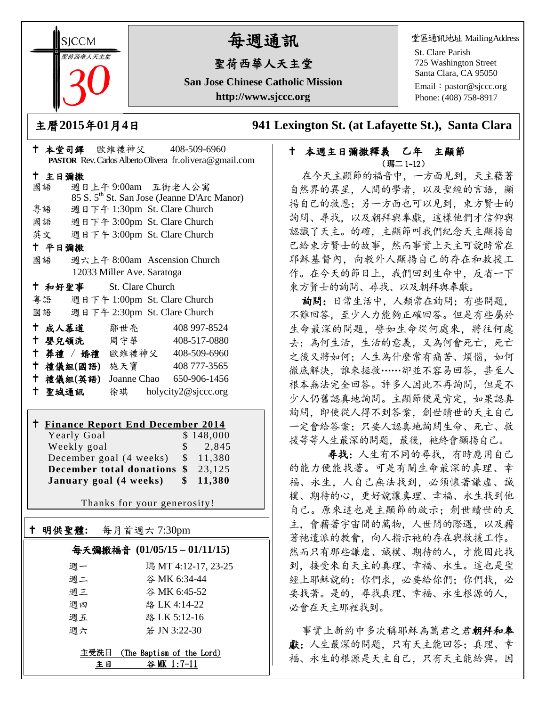**SICCM** 聖荷西華人天主堂 

# 每週通訊

# 聖荷西華人天主堂

**San Jose Chinese Catholic Mission http://www.sjccc.org**

堂區通訊地址 MailingAddress

St. Clare Parish 725 Washington Street Santa Clara, CA 95050

Email: [pastor@sjccc.org](mailto:pastor@sjccc.org) Phone: (408) 758-8917

主曆**2015**年**01**月**4**日 **941 Lexington St. (at Lafayette St.), Santa Clara** 

#### 本堂司鐸 歐維禮神父 408-509-6960 **PASTOR** Rev. Carlos Alberto Olivera fr.olivera@gmail.com 主日彌撒 國語 週日上午 9:00am 五街老人公寓 85 S. 5th St. San Jose (Jeanne D'Arc Manor) 粵語 週日下午 1:30pm St. Clare Church 國語 週日下午 3:00pm St. Clare Church 英文 週日下午 3:00pm St. Clare Church 平日彌撒 國語 週六上午 8:00am Ascension Church 12033 Miller Ave. Saratoga 和好聖事 St. Clare Church 粵語 週日下午 1:00pm St. Clare Church 國語 週日下午 2:30pm St. Clare Church 成人慕道 鄒世亮 408 997-8524 嬰兒領洗 周守華 408-517-0880 葬禮 / 婚禮 歐維禮神父 408-509-6960 禮儀組**(**國語**)** 施天寶 408 777-3565 禮儀組**(**英語**)** Joanne Chao 650-906-1456 聖城通訊 徐琪 holycity2@sjccc.org

# **Finance Report End December 2014**

| THRACK RUDOLI EAU DUCCHIOCI 2017 |  |                     |
|----------------------------------|--|---------------------|
| Yearly Goal                      |  | \$148,000           |
| Weekly goal                      |  | $\frac{1}{2}$ , 845 |
| December goal (4 weeks)          |  | \$11,380            |
| December total donations \$      |  | 23,125              |
| January goal (4 weeks)           |  | \$11,380            |

Thanks for your generosity!

## 明供聖體**:** 每月首週六 7:30pm 每天彌撒福音 **(01/05/15 – 01/11/15)** 週一 瑪 MT 4:12-17, 23-25 週二 谷 MK 6:34-44 週三 谷 MK 6:45-52 週四 路 LK 4:14-22 週五 路 LK 5:12-16 週六 若 JN 3:22-30 主受洗日 (The Baptism of the Lord)

Ξ

主日 谷 MK 1:7-11

#### 本週主日彌撒釋義 乙年 主顯節 (瑪二 1~12)

在今天主顯節的福音中,一方面見到,天主藉著 自然界的異星,人間的學者,以及聖經的言語,顯 揚自己的救恩;另一方面也可以見到,東方賢士的 詢問、尋找,以及朝拜與奉獻,這樣他們才信仰與 認識了天主。的確,主顯節叫我們紀念天主顯揚自 己給東方賢士的故事,然而事實上天主可說時常在 耶穌基督內,向教外人顯揚自己的存在和救援工 作。在今天的節日上,我們回到生命中,反省一下 東方賢士的詢問、尋找、以及朝拜與奉獻。

詢問:日常生活中,人類常在詢問;有些問題, 不難回答,至少人力能夠正確回答。但是有些屬於 生命最深的問題,譬如生命從何處來,將往何處 去;為何生活,生活的意義,又為何會死亡,死亡 之後又將如何;人生為什麼常有痛苦、煩惱,如何 徹底解決,誰來拯救……卻並不容易回答,甚至人 根本無法完全回答。許多人因此不再詢問,但是不 少人仍舊認真地詢問。主顯節便是肯定,如果認真 詢問,即使從人得不到答案,創世贖世的天主自己 一定會給答案;只要人認真地詢問生命、死亡、救 援等等人生最深的問題,最後,祂終會顯揚自己。

 尋找:人生有不同的尋找,有時應用自己 的能力便能找著。可是有關生命最深的真理、幸 福、永生,人自己無法找到,必須懷著謙虛、誠 樸、期待的心,更好說讓真理、幸福、永生找到他 自己。原來這也是主顯節的啟示;創世贖世的天 主,會藉著宇宙間的萬物,人世間的際遇,以及藉 著祂遣派的教會,向人指示祂的存在與救援工作。 然而只有那些謙虛、誠樸、期待的人,才能因此找 到,接受來自天主的真理、幸福、永生。這也是聖 經上耶穌說的:你們求,必要給你們;你們找,必 要找著。是的,尋找真理、幸福、永生根源的人, 必會在天主那裡找到。

事實上新約中多次稱耶穌為萬君之君朝拜和奉 獻:人生最深的問題,只有天主能回答;真理、幸 福、永生的根源是天主自己,只有天主能給與。因